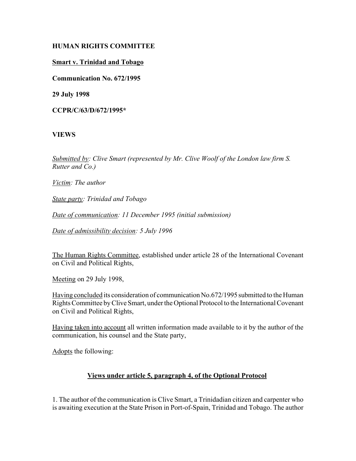# **HUMAN RIGHTS COMMITTEE**

# **Smart v. Trinidad and Tobago**

**Communication No. 672/1995**

**29 July 1998**

**CCPR/C/63/D/672/1995\***

# **VIEWS**

*Submitted by: Clive Smart (represented by Mr. Clive Woolf of the London law firm S. Rutter and Co.)* 

*Victim: The author* 

*State party: Trinidad and Tobago* 

*Date of communication: 11 December 1995 (initial submission)* 

*Date of admissibility decision: 5 July 1996* 

The Human Rights Committee, established under article 28 of the International Covenant on Civil and Political Rights,

Meeting on 29 July 1998,

Having concluded its consideration of communication No.672/1995 submitted to the Human Rights Committee by Clive Smart, under the Optional Protocol to the International Covenant on Civil and Political Rights,

Having taken into account all written information made available to it by the author of the communication, his counsel and the State party,

Adopts the following:

# **Views under article 5, paragraph 4, of the Optional Protocol**

1. The author of the communication is Clive Smart, a Trinidadian citizen and carpenter who is awaiting execution at the State Prison in Port-of-Spain, Trinidad and Tobago. The author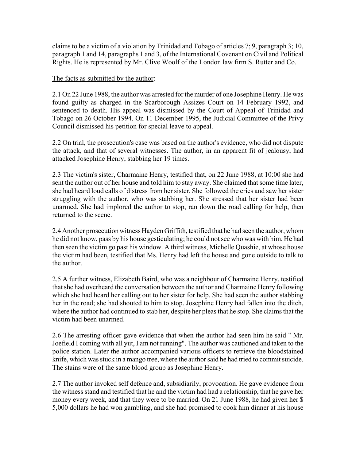claims to be a victim of a violation by Trinidad and Tobago of articles 7; 9, paragraph 3; 10, paragraph 1 and 14, paragraphs 1 and 3, of the International Covenant on Civil and Political Rights. He is represented by Mr. Clive Woolf of the London law firm S. Rutter and Co.

### The facts as submitted by the author:

2.1 On 22 June 1988, the author was arrested for the murder of one Josephine Henry. He was found guilty as charged in the Scarborough Assizes Court on 14 February 1992, and sentenced to death. His appeal was dismissed by the Court of Appeal of Trinidad and Tobago on 26 October 1994. On 11 December 1995, the Judicial Committee of the Privy Council dismissed his petition for special leave to appeal.

2.2 On trial, the prosecution's case was based on the author's evidence, who did not dispute the attack, and that of several witnesses. The author, in an apparent fit of jealousy, had attacked Josephine Henry, stabbing her 19 times.

2.3 The victim's sister, Charmaine Henry, testified that, on 22 June 1988, at 10:00 she had sent the author out of her house and told him to stay away. She claimed that some time later, she had heard loud calls of distress from her sister. She followed the cries and saw her sister struggling with the author, who was stabbing her. She stressed that her sister had been unarmed. She had implored the author to stop, ran down the road calling for help, then returned to the scene.

2.4 Another prosecution witness Hayden Griffith, testified that he had seen the author, whom he did not know, pass by his house gesticulating; he could not see who was with him. He had then seen the victim go past his window. A third witness, Michelle Quashie, at whose house the victim had been, testified that Ms. Henry had left the house and gone outside to talk to the author.

2.5 A further witness, Elizabeth Baird, who was a neighbour of Charmaine Henry, testified that she had overheard the conversation between the author and Charmaine Henry following which she had heard her calling out to her sister for help. She had seen the author stabbing her in the road; she had shouted to him to stop. Josephine Henry had fallen into the ditch, where the author had continued to stab her, despite her pleas that he stop. She claims that the victim had been unarmed.

2.6 The arresting officer gave evidence that when the author had seen him he said " Mr. Joefield I coming with all yut, I am not running". The author was cautioned and taken to the police station. Later the author accompanied various officers to retrieve the bloodstained knife, which was stuck in a mango tree, where the author said he had tried to commit suicide. The stains were of the same blood group as Josephine Henry.

2.7 The author invoked self defence and, subsidiarily, provocation. He gave evidence from the witness stand and testified that he and the victim had had a relationship, that he gave her money every week, and that they were to be married. On 21 June 1988, he had given her \$ 5,000 dollars he had won gambling, and she had promised to cook him dinner at his house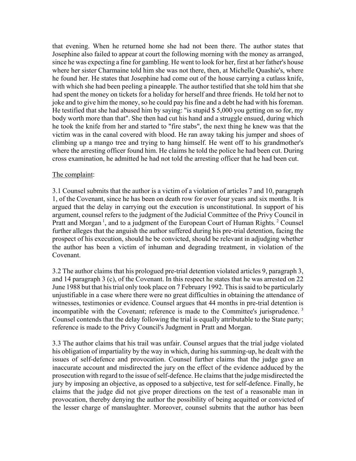that evening. When he returned home she had not been there. The author states that Josephine also failed to appear at court the following morning with the money as arranged, since he was expecting a fine for gambling. He went to look for her, first at her father's house where her sister Charmaine told him she was not there, then, at Michelle Quashie's, where he found her. He states that Josephine had come out of the house carrying a cutlass knife, with which she had been peeling a pineapple. The author testified that she told him that she had spent the money on tickets for a holiday for herself and three friends. He told her not to joke and to give him the money, so he could pay his fine and a debt he had with his foreman. He testified that she had abused him by saying: "is stupid \$ 5,000 you getting on so for, my body worth more than that". She then had cut his hand and a struggle ensued, during which he took the knife from her and started to "fire stabs", the next thing he knew was that the victim was in the canal covered with blood. He ran away taking his jumper and shoes of climbing up a mango tree and trying to hang himself. He went off to his grandmother's where the arresting officer found him. He claims he told the police he had been cut. During cross examination, he admitted he had not told the arresting officer that he had been cut.

#### The complaint:

3.1 Counsel submits that the author is a victim of a violation of articles 7 and 10, paragraph 1, of the Covenant, since he has been on death row for over four years and six months. It is argued that the delay in carrying out the execution is unconstitutional. In support of his argument, counsel refers to the judgment of the Judicial Committee of the Privy Council in Pratt and Morgan<sup>1</sup>, and to a judgment of the European Court of Human Rights.<sup>2</sup> Counsel further alleges that the anguish the author suffered during his pre-trial detention, facing the prospect of his execution, should he be convicted, should be relevant in adjudging whether the author has been a victim of inhuman and degrading treatment, in violation of the Covenant.

3.2 The author claims that his prologued pre-trial detention violated articles 9, paragraph 3, and 14 paragraph 3 (c), of the Covenant. In this respect he states that he was arrested on 22 June 1988 but that his trial only took place on 7 February 1992. This is said to be particularly unjustifiable in a case where there were no great difficulties in obtaining the attendance of witnesses, testimonies or evidence. Counsel argues that 44 months in pre-trial detention is incompatible with the Covenant; reference is made to the Committee's jurisprudence. 3 Counsel contends that the delay following the trial is equally attributable to the State party; reference is made to the Privy Council's Judgment in Pratt and Morgan.

3.3 The author claims that his trail was unfair. Counsel argues that the trial judge violated his obligation of impartiality by the way in which, during his summing-up, he dealt with the issues of self-defence and provocation. Counsel further claims that the judge gave an inaccurate account and misdirected the jury on the effect of the evidence adduced by the prosecution with regard to the issue of self-defence. He claims that the judge misdirected the jury by imposing an objective, as opposed to a subjective, test for self-defence. Finally, he claims that the judge did not give proper directions on the test of a reasonable man in provocation, thereby denying the author the possibility of being acquitted or convicted of the lesser charge of manslaughter. Moreover, counsel submits that the author has been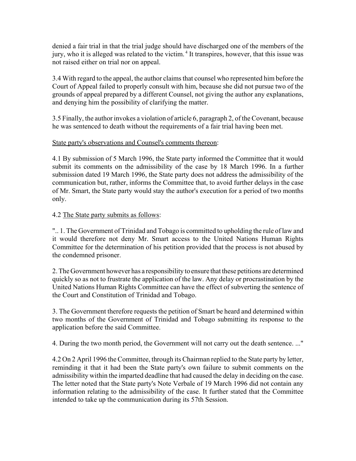denied a fair trial in that the trial judge should have discharged one of the members of the jury, who it is alleged was related to the victim.<sup>4</sup> It transpires, however, that this issue was not raised either on trial nor on appeal.

3.4 With regard to the appeal, the author claims that counsel who represented him before the Court of Appeal failed to properly consult with him, because she did not pursue two of the grounds of appeal prepared by a different Counsel, not giving the author any explanations, and denying him the possibility of clarifying the matter.

3.5 Finally, the author invokes a violation of article 6, paragraph 2, of the Covenant, because he was sentenced to death without the requirements of a fair trial having been met.

# State party's observations and Counsel's comments thereon:

4.1 By submission of 5 March 1996, the State party informed the Committee that it would submit its comments on the admissibility of the case by 18 March 1996. In a further submission dated 19 March 1996, the State party does not address the admissibility of the communication but, rather, informs the Committee that, to avoid further delays in the case of Mr. Smart, the State party would stay the author's execution for a period of two months only.

# 4.2 The State party submits as follows:

".. 1. The Government of Trinidad and Tobago is committed to upholding the rule of law and it would therefore not deny Mr. Smart access to the United Nations Human Rights Committee for the determination of his petition provided that the process is not abused by the condemned prisoner.

2. The Government however has a responsibility to ensure that these petitions are determined quickly so as not to frustrate the application of the law. Any delay or procrastination by the United Nations Human Rights Committee can have the effect of subverting the sentence of the Court and Constitution of Trinidad and Tobago.

3. The Government therefore requests the petition of Smart be heard and determined within two months of the Government of Trinidad and Tobago submitting its response to the application before the said Committee.

4. During the two month period, the Government will not carry out the death sentence. ..."

4.2 On 2 April 1996 the Committee, through its Chairman replied to the State party by letter, reminding it that it had been the State party's own failure to submit comments on the admissibility within the imparted deadline that had caused the delay in deciding on the case. The letter noted that the State party's Note Verbale of 19 March 1996 did not contain any information relating to the admissibility of the case. It further stated that the Committee intended to take up the communication during its 57th Session.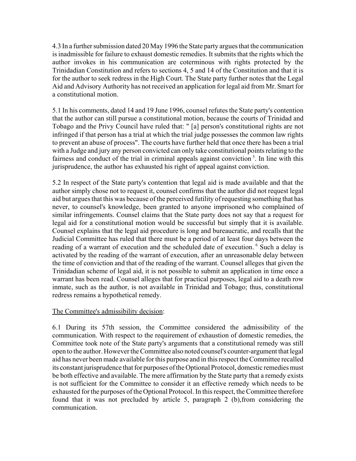4.3 In a further submission dated 20 May 1996 the State party argues that the communication is inadmissible for failure to exhaust domestic remedies. It submits that the rights which the author invokes in his communication are coterminous with rights protected by the Trinidadian Constitution and refers to sections 4, 5 and 14 of the Constitution and that it is for the author to seek redress in the High Court. The State party further notes that the Legal Aid and Advisory Authority has not received an application for legal aid from Mr. Smart for a constitutional motion.

5.1 In his comments, dated 14 and 19 June 1996, counsel refutes the State party's contention that the author can still pursue a constitutional motion, because the courts of Trinidad and Tobago and the Privy Council have ruled that: " [a] person's constitutional rights are not infringed if that person has a trial at which the trial judge possesses the common law rights to prevent an abuse of process". The courts have further held that once there has been a trial with a Judge and jury any person convicted can only take constitutional points relating to the fairness and conduct of the trial in criminal appeals against conviction<sup>5</sup>. In line with this jurisprudence, the author has exhausted his right of appeal against conviction.

5.2 In respect of the State party's contention that legal aid is made available and that the author simply chose not to request it, counsel confirms that the author did not request legal aid but argues that this was because of the perceived futility of requesting something that has never, to counsel's knowledge, been granted to anyone imprisoned who complained of similar infringements. Counsel claims that the State party does not say that a request for legal aid for a constitutional motion would be successful but simply that it is available. Counsel explains that the legal aid procedure is long and bureaucratic, and recalls that the Judicial Committee has ruled that there must be a period of at least four days between the reading of a warrant of execution and the scheduled date of execution. <sup>6</sup> Such a delay is activated by the reading of the warrant of execution, after an unreasonable delay between the time of conviction and that of the reading of the warrant. Counsel alleges that given the Trinidadian scheme of legal aid, it is not possible to submit an application in time once a warrant has been read. Counsel alleges that for practical purposes, legal aid to a death row inmate, such as the author, is not available in Trinidad and Tobago; thus, constitutional redress remains a hypothetical remedy.

# The Committee's admissibility decision:

6.1 During its 57th session, the Committee considered the admissibility of the communication. With respect to the requirement of exhaustion of domestic remedies, the Committee took note of the State party's arguments that a constitutional remedy was still open to the author. However the Committee also noted counsel's counter-argument that legal aid has never been made available for this purpose and in this respect the Committee recalled its constant jurisprudence that for purposes of the Optional Protocol, domestic remedies must be both effective and available. The mere affirmation by the State party that a remedy exists is not sufficient for the Committee to consider it an effective remedy which needs to be exhausted for the purposes of the Optional Protocol. In this respect, the Committee therefore found that it was not precluded by article 5, paragraph 2 (b),from considering the communication.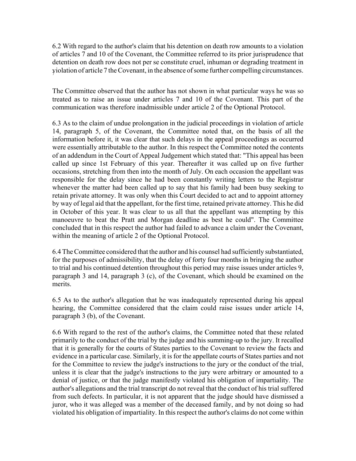6.2 With regard to the author's claim that his detention on death row amounts to a violation of articles 7 and 10 of the Covenant, the Committee referred to its prior jurisprudence that detention on death row does not per se constitute cruel, inhuman or degrading treatment in violation of article 7 the Covenant, in the absence of some further compelling circumstances. <sup>7</sup>

The Committee observed that the author has not shown in what particular ways he was so treated as to raise an issue under articles 7 and 10 of the Covenant. This part of the communication was therefore inadmissible under article 2 of the Optional Protocol.

6.3 As to the claim of undue prolongation in the judicial proceedings in violation of article 14, paragraph 5, of the Covenant, the Committee noted that, on the basis of all the information before it, it was clear that such delays in the appeal proceedings as occurred were essentially attributable to the author. In this respect the Committee noted the contents of an addendum in the Court of Appeal Judgement which stated that: "This appeal has been called up since 1st February of this year. Thereafter it was called up on five further occasions, stretching from then into the month of July. On each occasion the appellant was responsible for the delay since he had been constantly writing letters to the Registrar whenever the matter had been called up to say that his family had been busy seeking to retain private attorney. It was only when this Court decided to act and to appoint attorney by way of legal aid that the appellant, for the first time, retained private attorney. This he did in October of this year. It was clear to us all that the appellant was attempting by this manoeuvre to beat the Pratt and Morgan deadline as best he could". The Committee concluded that in this respect the author had failed to advance a claim under the Covenant, within the meaning of article 2 of the Optional Protocol.

6.4 The Committee considered that the author and his counsel had sufficiently substantiated, for the purposes of admissibility, that the delay of forty four months in bringing the author to trial and his continued detention throughout this period may raise issues under articles 9, paragraph 3 and 14, paragraph 3 (c), of the Covenant, which should be examined on the merits.

6.5 As to the author's allegation that he was inadequately represented during his appeal hearing, the Committee considered that the claim could raise issues under article 14, paragraph 3 (b), of the Covenant.

6.6 With regard to the rest of the author's claims, the Committee noted that these related primarily to the conduct of the trial by the judge and his summing-up to the jury. It recalled that it is generally for the courts of States parties to the Covenant to review the facts and evidence in a particular case. Similarly, it is for the appellate courts of States parties and not for the Committee to review the judge's instructions to the jury or the conduct of the trial, unless it is clear that the judge's instructions to the jury were arbitrary or amounted to a denial of justice, or that the judge manifestly violated his obligation of impartiality. The author's allegations and the trial transcript do not reveal that the conduct of his trial suffered from such defects. In particular, it is not apparent that the judge should have dismissed a juror, who it was alleged was a member of the deceased family, and by not doing so had violated his obligation of impartiality. In this respect the author's claims do not come within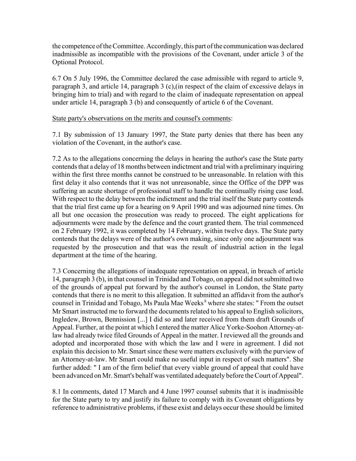the competence of the Committee. Accordingly, this part of the communication was declared inadmissible as incompatible with the provisions of the Covenant, under article 3 of the Optional Protocol.

6.7 On 5 July 1996, the Committee declared the case admissible with regard to article 9, paragraph 3, and article 14, paragraph 3 (c),(in respect of the claim of excessive delays in bringing him to trial) and with regard to the claim of inadequate representation on appeal under article 14, paragraph 3 (b) and consequently of article 6 of the Covenant.

State party's observations on the merits and counsel's comments:

7.1 By submission of 13 January 1997, the State party denies that there has been any violation of the Covenant, in the author's case.

7.2 As to the allegations concerning the delays in hearing the author's case the State party contends that a delay of 18 months between indictment and trial with a preliminary inquiring within the first three months cannot be construed to be unreasonable. In relation with this first delay it also contends that it was not unreasonable, since the Office of the DPP was suffering an acute shortage of professional staff to handle the continually rising case load. With respect to the delay between the indictment and the trial itself the State party contends that the trial first came up for a hearing on 9 April 1990 and was adjourned nine times. On all but one occasion the prosecution was ready to proceed. The eight applications for adjournments were made by the defence and the court granted them. The trial commenced on 2 February 1992, it was completed by 14 February, within twelve days. The State party contends that the delays were of the author's own making, since only one adjournment was requested by the prosecution and that was the result of industrial action in the legal department at the time of the hearing.

7.3 Concerning the allegations of inadequate representation on appeal, in breach of article 14, paragraph 3 (b), in that counsel in Trinidad and Tobago, on appeal did not submitted two of the grounds of appeal put forward by the author's counsel in London, the State party contends that there is no merit to this allegation. It submitted an affidavit from the author's counsel in Trinidad and Tobago, Ms Paula Mae Weeks<sup>8</sup> where she states: " From the outset Mr Smart instructed me to forward the documents related to his appeal to English solicitors, Ingledew, Brown, Bennission [...] I did so and later received from them draft Grounds of Appeal. Further, at the point at which I entered the matter Alice Yorke-Soohon Attorney-atlaw had already twice filed Grounds of Appeal in the matter. I reviewed all the grounds and adopted and incorporated those with which the law and I were in agreement. I did not explain this decision to Mr. Smart since these were matters exclusively with the purview of an Attorney-at-law. Mr Smart could make no useful input in respect of such matters". She further added: " I am of the firm belief that every viable ground of appeal that could have been advanced on Mr. Smart's behalf was ventilated adequately before the Court of Appeal".

8.1 In comments, dated 17 March and 4 June 1997 counsel submits that it is inadmissible for the State party to try and justify its failure to comply with its Covenant obligations by reference to administrative problems, if these exist and delays occur these should be limited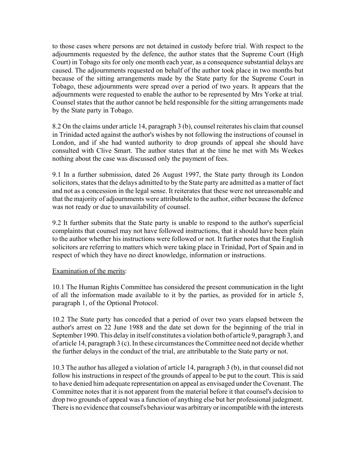to those cases where persons are not detained in custody before trial. With respect to the adjournments requested by the defence, the author states that the Supreme Court (High Court) in Tobago sits for only one month each year, as a consequence substantial delays are caused. The adjournments requested on behalf of the author took place in two months but because of the sitting arrangements made by the State party for the Supreme Court in Tobago, these adjournments were spread over a period of two years. It appears that the adjournments were requested to enable the author to be represented by Mrs Yorke at trial. Counsel states that the author cannot be held responsible for the sitting arrangements made by the State party in Tobago.

8.2 On the claims under article 14, paragraph 3 (b), counsel reiterates his claim that counsel in Trinidad acted against the author's wishes by not following the instructions of counsel in London, and if she had wanted authority to drop grounds of appeal she should have consulted with Clive Smart. The author states that at the time he met with Ms Weekes nothing about the case was discussed only the payment of fees.

9.1 In a further submission, dated 26 August 1997, the State party through its London solicitors, states that the delays admitted to by the State party are admitted as a matter of fact and not as a concession in the legal sense. It reiterates that these were not unreasonable and that the majority of adjournments were attributable to the author, either because the defence was not ready or due to unavailability of counsel.

9.2 It further submits that the State party is unable to respond to the author's superficial complaints that counsel may not have followed instructions, that it should have been plain to the author whether his instructions were followed or not. It further notes that the English solicitors are referring to matters which were taking place in Trinidad, Port of Spain and in respect of which they have no direct knowledge, information or instructions.

### Examination of the merits:

10.1 The Human Rights Committee has considered the present communication in the light of all the information made available to it by the parties, as provided for in article 5, paragraph 1, of the Optional Protocol.

10.2 The State party has conceded that a period of over two years elapsed between the author's arrest on 22 June 1988 and the date set down for the beginning of the trial in September 1990. This delay in itself constitutes a violation both of article 9, paragraph 3, and of article 14, paragraph 3 (c). In these circumstances the Committee need not decide whether the further delays in the conduct of the trial, are attributable to the State party or not.

10.3 The author has alleged a violation of article 14, paragraph 3 (b), in that counsel did not follow his instructions in respect of the grounds of appeal to be put to the court. This is said to have denied him adequate representation on appeal as envisaged under the Covenant. The Committee notes that it is not apparent from the material before it that counsel's decision to drop two grounds of appeal was a function of anything else but her professional judegment. There is no evidence that counsel's behaviour was arbitrary or incompatible with the interests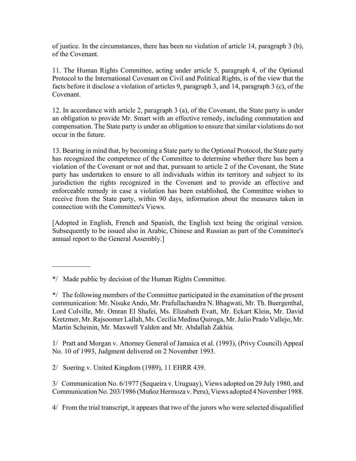of justice. In the circumstances, there has been no violation of article 14, paragraph 3 (b), of the Covenant.

11. The Human Rights Committee, acting under article 5, paragraph 4, of the Optional Protocol to the International Covenant on Civil and Political Rights, is of the view that the facts before it disclose a violation of articles 9, paragraph 3, and 14, paragraph 3 (c), of the Covenant.

12. In accordance with article 2, paragraph 3 (a), of the Covenant, the State party is under an obligation to provide Mr. Smart with an effective remedy, including commutation and compensation. The State party is under an obligation to ensure that similar violations do not occur in the future.

13. Bearing in mind that, by becoming a State party to the Optional Protocol, the State party has recognized the competence of the Committee to determine whether there has been a violation of the Covenant or not and that, pursuant to article 2 of the Covenant, the State party has undertaken to ensure to all individuals within its territory and subject to its jurisdiction the rights recognized in the Covenant and to provide an effective and enforceable remedy in case a violation has been established, the Committee wishes to receive from the State party, within 90 days, information about the measures taken in connection with the Committee's Views.

[Adopted in English, French and Spanish, the English text being the original version. Subsequently to be issued also in Arabic, Chinese and Russian as part of the Committee's annual report to the General Assembly.]

 $\mathcal{L}_\text{max}$ 

1/ Pratt and Morgan v. Attorney General of Jamaica et al. (1993), (Privy Council) Appeal No. 10 of 1993, Judgment delivered on 2 November 1993.

2/ Soering v. United Kingdom (1989), 11 EHRR 439.

3/ Communication No. 6/1977 (Sequeira v. Uruguay), Views adopted on 29 July 1980, and Communication No. 203/1986 (Muñoz Hermoza v. Peru), Views adopted 4 November 1988.

4/ From the trial transcript, it appears that two of the jurors who were selected disqualified

<sup>\*/</sup> Made public by decision of the Human Rights Committee.

<sup>\*/</sup> The following members of the Committee participated in the examination of the present communication: Mr. Nisuke Ando, Mr. Prafullachandra N. Bhagwati, Mr. Th. Buergenthal, Lord Colville, Mr. Omran El Shafei, Ms. Elizabeth Evatt, Mr. Eckart Klein, Mr. David Kretzmer, Mr. Rajsoomer Lallah, Ms. Cecilia Medina Quiroga, Mr. Julio Prado Vallejo, Mr. Martin Scheinin, Mr. Maxwell Yalden and Mr. Abdallah Zakhia.